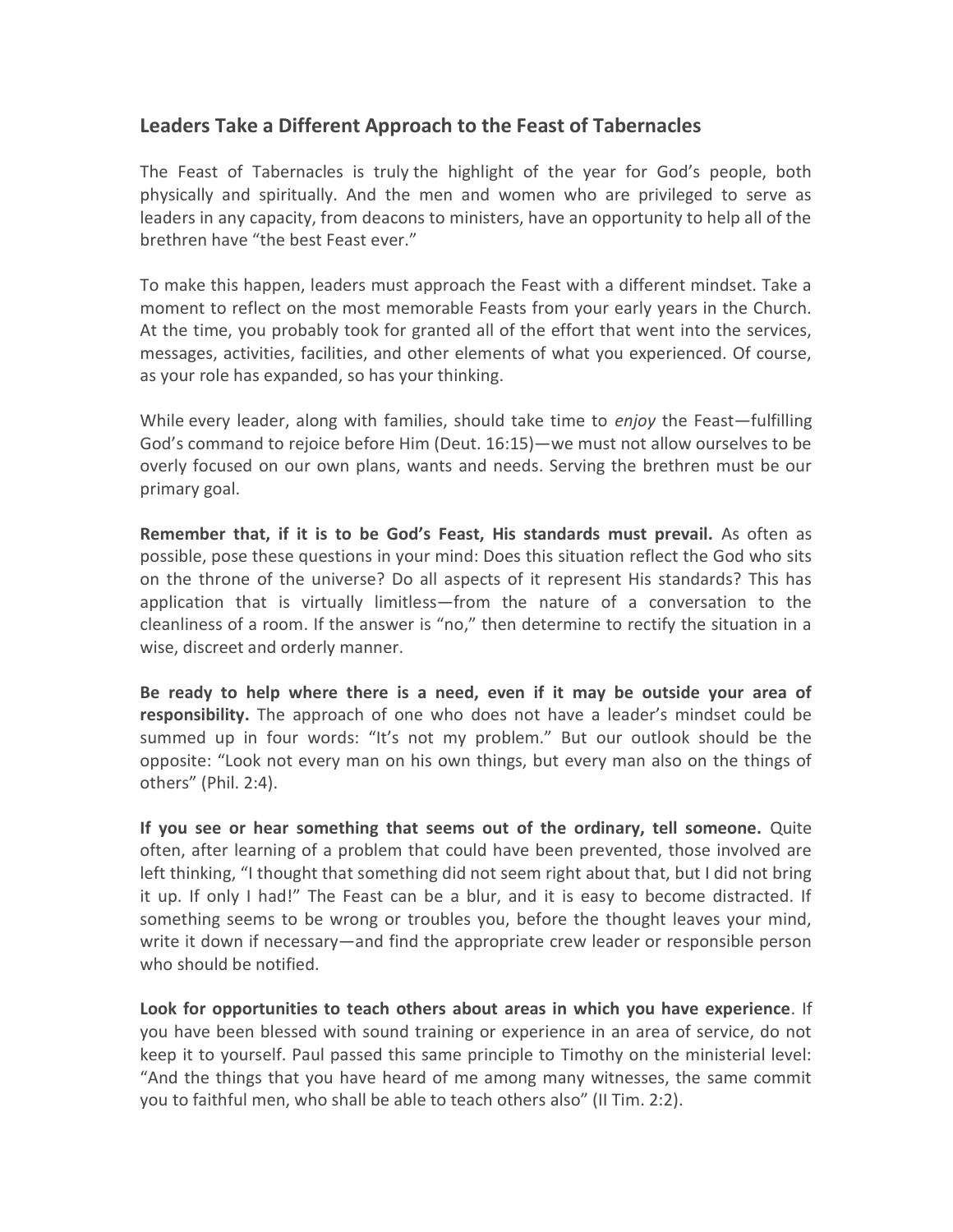## Leaders Take a Different Approach to the Feast of Tabernacles

The Feast of Tabernacles is truly the highlight of the year for God's people, both physically and spiritually. And the men and women who are privileged to serve as leaders in any capacity, from deacons to ministers, have an opportunity to help all of the brethren have "the best Feast ever."

To make this happen, leaders must approach the Feast with a different mindset. Take a moment to reflect on the most memorable Feasts from your early years in the Church. At the time, you probably took for granted all of the effort that went into the services, messages, activities, facilities, and other elements of what you experienced. Of course, as your role has expanded, so has your thinking.

While every leader, along with families, should take time to *enjoy* the Feast—fulfilling God's command to rejoice before Him (Deut. 16:15)—we must not allow ourselves to be overly focused on our own plans, wants and needs. Serving the brethren must be our primary goal.

Remember that, if it is to be God's Feast, His standards must prevail. As often as possible, pose these questions in your mind: Does this situation reflect the God who sits on the throne of the universe? Do all aspects of it represent His standards? This has application that is virtually limitless—from the nature of a conversation to the cleanliness of a room. If the answer is "no," then determine to rectify the situation in a wise, discreet and orderly manner.

Be ready to help where there is a need, even if it may be outside your area of responsibility. The approach of one who does not have a leader's mindset could be summed up in four words: "It's not my problem." But our outlook should be the opposite: "Look not every man on his own things, but every man also on the things of others" (Phil. 2:4).

If you see or hear something that seems out of the ordinary, tell someone. Quite often, after learning of a problem that could have been prevented, those involved are left thinking, "I thought that something did not seem right about that, but I did not bring it up. If only I had!" The Feast can be a blur, and it is easy to become distracted. If something seems to be wrong or troubles you, before the thought leaves your mind, write it down if necessary—and find the appropriate crew leader or responsible person who should be notified.

Look for opportunities to teach others about areas in which you have experience. If you have been blessed with sound training or experience in an area of service, do not keep it to yourself. Paul passed this same principle to Timothy on the ministerial level: "And the things that you have heard of me among many witnesses, the same commit you to faithful men, who shall be able to teach others also" (II Tim. 2:2).